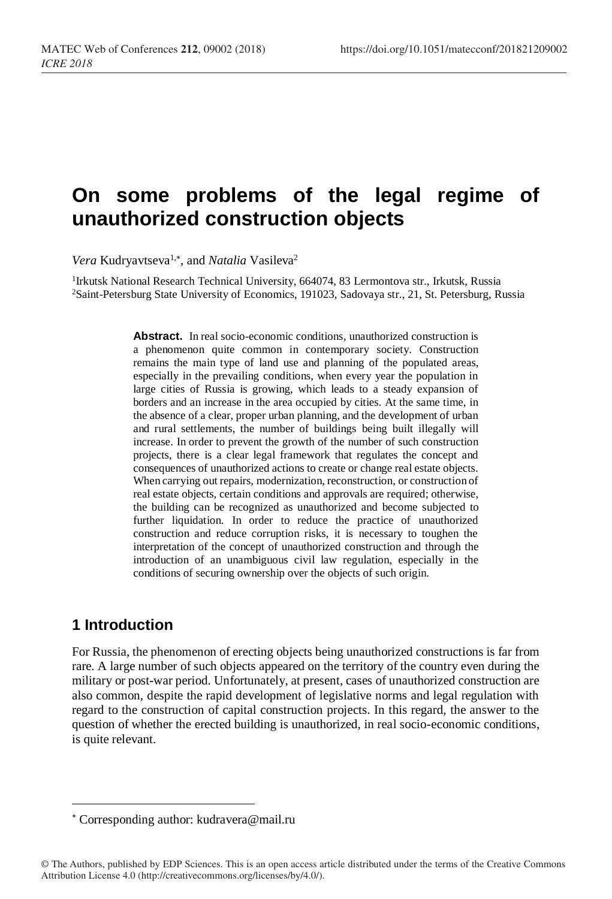# **On some problems of the legal regime of unauthorized construction objects**

Vera Kudryavtseva<sup>1,\*</sup>, and *Natalia* Vasileva<sup>2</sup>

<sup>1</sup>Irkutsk National Research Technical University, 664074, 83 Lermontova str., Irkutsk, Russia <sup>2</sup>Saint-Petersburg State University of Economics, 191023, Sadovaya str., 21, St. Petersburg, Russia

> Abstract. In real socio-economic conditions, unauthorized construction is a phenomenon quite common in contemporary society. Construction remains the main type of land use and planning of the populated areas, especially in the prevailing conditions, when every year the population in large cities of Russia is growing, which leads to a steady expansion of borders and an increase in the area occupied by cities. At the same time, in the absence of a clear, proper urban planning, and the development of urban and rural settlements, the number of buildings being built illegally will increase. In order to prevent the growth of the number of such construction projects, there is a clear legal framework that regulates the concept and consequences of unauthorized actions to create or change real estate objects. When carrying out repairs, modernization, reconstruction, or construction of real estate objects, certain conditions and approvals are required; otherwise, the building can be recognized as unauthorized and become subjected to further liquidation. In order to reduce the practice of unauthorized construction and reduce corruption risks, it is necessary to toughen the interpretation of the concept of unauthorized construction and through the introduction of an unambiguous civil law regulation, especially in the conditions of securing ownership over the objects of such origin.

## **1 Introduction**

l

For Russia, the phenomenon of erecting objects being unauthorized constructions is far from rare. A large number of such objects appeared on the territory of the country even during the military or post-war period. Unfortunately, at present, cases of unauthorized construction are also common, despite the rapid development of legislative norms and legal regulation with regard to the construction of capital construction projects. In this regard, the answer to the question of whether the erected building is unauthorized, in real socio-economic conditions, is quite relevant.

Corresponding author: [kudravera@mail.ru](mailto:kudravera@mail.ru)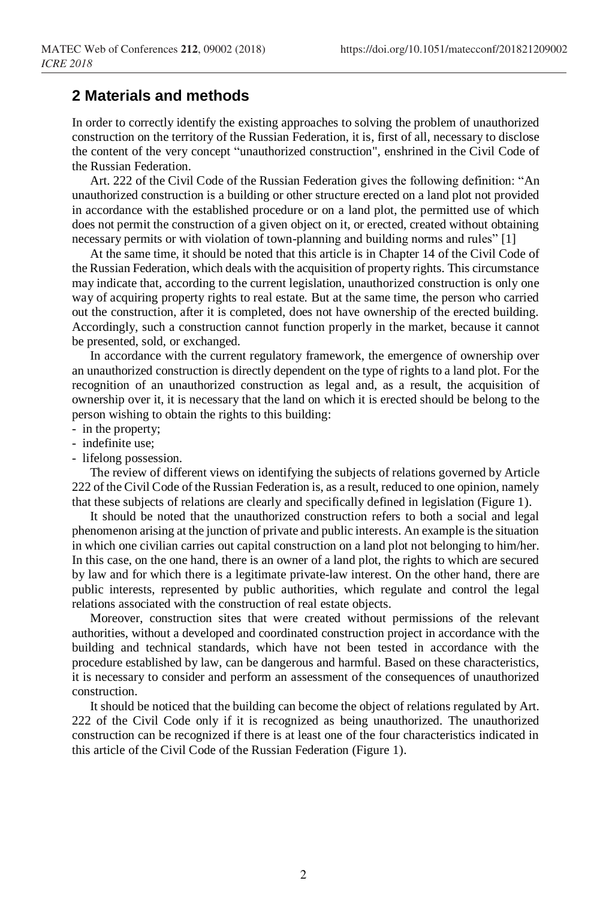#### **2 Materials and methods**

In order to correctly identify the existing approaches to solving the problem of unauthorized construction on the territory of the Russian Federation, it is, first of all, necessary to disclose the content of the very concept "unauthorized construction", enshrined in the Civil Code of the Russian Federation.

Art. 222 of the Civil Code of the Russian Federation gives the following definition: "An unauthorized construction is a building or other structure erected on a land plot not provided in accordance with the established procedure or on a land plot, the permitted use of which does not permit the construction of a given object on it, or erected, created without obtaining necessary permits or with violation of town-planning and building norms and rules" [1]

At the same time, it should be noted that this article is in Chapter 14 of the Civil Code of the Russian Federation, which deals with the acquisition of property rights. This circumstance may indicate that, according to the current legislation, unauthorized construction is only one way of acquiring property rights to real estate. But at the same time, the person who carried out the construction, after it is completed, does not have ownership of the erected building. Accordingly, such a construction cannot function properly in the market, because it cannot be presented, sold, or exchanged.

In accordance with the current regulatory framework, the emergence of ownership over an unauthorized construction is directly dependent on the type of rights to a land plot. For the recognition of an unauthorized construction as legal and, as a result, the acquisition of ownership over it, it is necessary that the land on which it is erected should be belong to the person wishing to obtain the rights to this building:

- in the property;
- indefinite use;
- lifelong possession.

The review of different views on identifying the subjects of relations governed by Article 222 of the Civil Code of the Russian Federation is, as a result, reduced to one opinion, namely that these subjects of relations are clearly and specifically defined in legislation (Figure 1).

It should be noted that the unauthorized construction refers to both a social and legal phenomenon arising at the junction of private and public interests. An example is the situation in which one civilian carries out capital construction on a land plot not belonging to him/her. In this case, on the one hand, there is an owner of a land plot, the rights to which are secured by law and for which there is a legitimate private-law interest. On the other hand, there are public interests, represented by public authorities, which regulate and control the legal relations associated with the construction of real estate objects.

Moreover, construction sites that were created without permissions of the relevant authorities, without a developed and coordinated construction project in accordance with the building and technical standards, which have not been tested in accordance with the procedure established by law, can be dangerous and harmful. Based on these characteristics, it is necessary to consider and perform an assessment of the consequences of unauthorized construction.

It should be noticed that the building can become the object of relations regulated by Art. 222 of the Civil Code only if it is recognized as being unauthorized. The unauthorized construction can be recognized if there is at least one of the four characteristics indicated in this article of the Civil Code of the Russian Federation (Figure 1).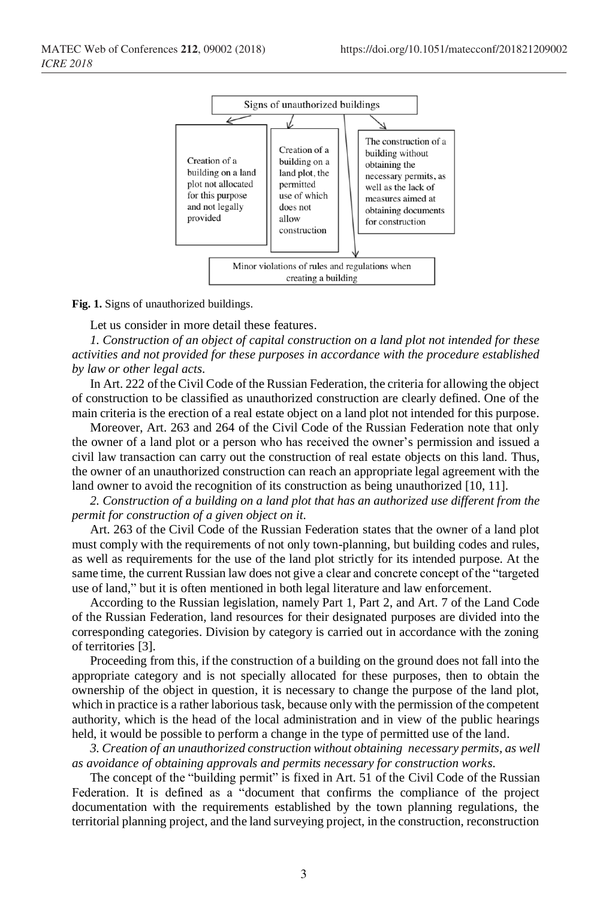

**Fig. 1.** Signs of unauthorized buildings.

Let us consider in more detail these features.

*1. Construction of an object of capital construction on a land plot not intended for these activities and not provided for these purposes in accordance with the procedure established by law or other legal acts.*

In Art. 222 of the Civil Code of the Russian Federation, the criteria for allowing the object of construction to be classified as unauthorized construction are clearly defined. One of the main criteria is the erection of a real estate object on a land plot not intended for this purpose.

Moreover, Art. 263 and 264 of the Civil Code of the Russian Federation note that only the owner of a land plot or a person who has received the owner's permission and issued a civil law transaction can carry out the construction of real estate objects on this land. Thus, the owner of an unauthorized construction can reach an appropriate legal agreement with the land owner to avoid the recognition of its construction as being unauthorized [10, 11].

*2. Construction of a building on a land plot that has an authorized use different from the permit for construction of a given object on it.*

Art. 263 of the Civil Code of the Russian Federation states that the owner of a land plot must comply with the requirements of not only town-planning, but building codes and rules, as well as requirements for the use of the land plot strictly for its intended purpose. At the same time, the current Russian law does not give a clear and concrete concept of the "targeted use of land," but it is often mentioned in both legal literature and law enforcement.

According to the Russian legislation, namely Part 1, Part 2, and Art. 7 of the Land Code of the Russian Federation, land resources for their designated purposes are divided into the corresponding categories. Division by category is carried out in accordance with the zoning of territories [3].

Proceeding from this, if the construction of a building on the ground does not fall into the appropriate category and is not specially allocated for these purposes, then to obtain the ownership of the object in question, it is necessary to change the purpose of the land plot, which in practice is a rather laborious task, because only with the permission of the competent authority, which is the head of the local administration and in view of the public hearings held, it would be possible to perform a change in the type of permitted use of the land.

*3. Creation of an unauthorized construction without obtaining necessary permits, as well as avoidance of obtaining approvals and permits necessary for construction works.*

The concept of the "building permit" is fixed in Art. 51 of the Civil Code of the Russian Federation. It is defined as a "document that confirms the compliance of the project documentation with the requirements established by the town planning regulations, the territorial planning project, and the land surveying project, in the construction, reconstruction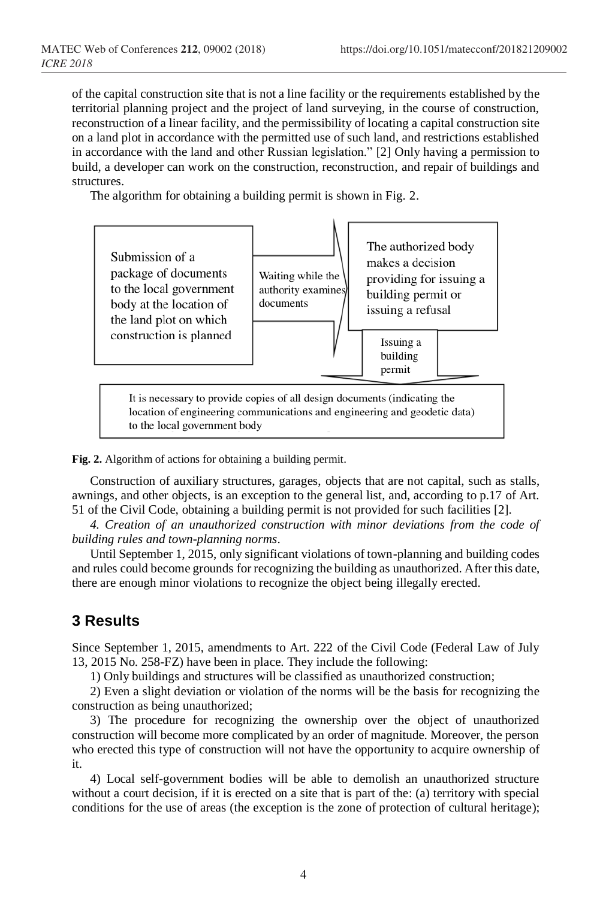of the capital construction site that is not a line facility or the requirements established by the territorial planning project and the project of land surveying, in the course of construction, reconstruction of a linear facility, and the permissibility of locating a capital construction site on a land plot in accordance with the permitted use of such land, and restrictions established in accordance with the land and other Russian legislation." [2] Only having a permission to build, a developer can work on the construction, reconstruction, and repair of buildings and structures.

The algorithm for obtaining a building permit is shown in Fig. 2.



**Fig. 2.** Algorithm of actions for obtaining a building permit.

Construction of auxiliary structures, garages, objects that are not capital, such as stalls, awnings, and other objects, is an exception to the general list, and, according to p.17 of Art. 51 of the Civil Code, obtaining a building permit is not provided for such facilities [2].

*4. Creation of an unauthorized construction with minor deviations from the code of building rules and town-planning norms*.

Until September 1, 2015, only significant violations of town-planning and building codes and rules could become grounds for recognizing the building as unauthorized. After this date, there are enough minor violations to recognize the object being illegally erected.

# **3 Results**

Since September 1, 2015, amendments to Art. 222 of the Civil Code (Federal Law of July 13, 2015 No. 258-FZ) have been in place. They include the following:

1) Only buildings and structures will be classified as unauthorized construction;

2) Even a slight deviation or violation of the norms will be the basis for recognizing the construction as being unauthorized;

3) The procedure for recognizing the ownership over the object of unauthorized construction will become more complicated by an order of magnitude. Moreover, the person who erected this type of construction will not have the opportunity to acquire ownership of it.

4) Local self-government bodies will be able to demolish an unauthorized structure without a court decision, if it is erected on a site that is part of the: (a) territory with special conditions for the use of areas (the exception is the zone of protection of cultural heritage);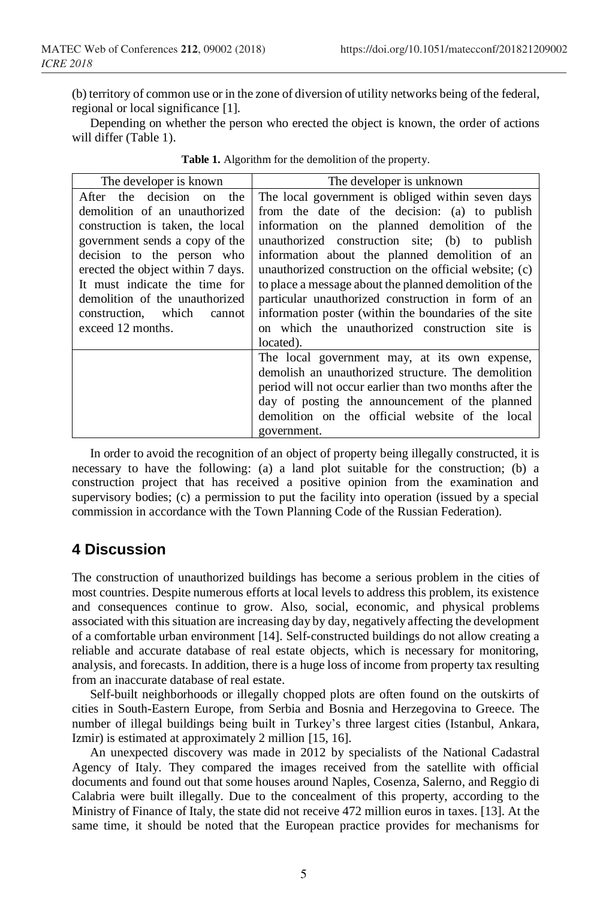(b) territory of common use or in the zone of diversion of utility networks being of the federal, regional or local significance [1].

Depending on whether the person who erected the object is known, the order of actions will differ (Table 1).

| The developer is known            | The developer is unknown                                |  |  |  |
|-----------------------------------|---------------------------------------------------------|--|--|--|
| After the decision on the         | The local government is obliged within seven days       |  |  |  |
| demolition of an unauthorized     | from the date of the decision: (a) to publish           |  |  |  |
| construction is taken, the local  | information on the planned demolition of the            |  |  |  |
| government sends a copy of the    | unauthorized construction site; (b) to publish          |  |  |  |
| decision to the person who        | information about the planned demolition of an          |  |  |  |
| erected the object within 7 days. | unauthorized construction on the official website; (c)  |  |  |  |
| It must indicate the time for     | to place a message about the planned demolition of the  |  |  |  |
| demolition of the unauthorized    | particular unauthorized construction in form of an      |  |  |  |
| construction, which<br>cannot     | information poster (within the boundaries of the site   |  |  |  |
| exceed 12 months.                 | on which the unauthorized construction site is          |  |  |  |
|                                   | located).                                               |  |  |  |
|                                   | The local government may, at its own expense,           |  |  |  |
|                                   | demolish an unauthorized structure. The demolition      |  |  |  |
|                                   | period will not occur earlier than two months after the |  |  |  |
|                                   | day of posting the announcement of the planned          |  |  |  |
|                                   | demolition on the official website of the local         |  |  |  |
|                                   | government.                                             |  |  |  |

|  | Table 1. Algorithm for the demolition of the property. |  |
|--|--------------------------------------------------------|--|
|  |                                                        |  |

In order to avoid the recognition of an object of property being illegally constructed, it is necessary to have the following: (a) a land plot suitable for the construction; (b) a construction project that has received a positive opinion from the examination and supervisory bodies; (c) a permission to put the facility into operation (issued by a special commission in accordance with the Town Planning Code of the Russian Federation).

## **4 Discussion**

The construction of unauthorized buildings has become a serious problem in the cities of most countries. Despite numerous efforts at local levels to address this problem, its existence and consequences continue to grow. Also, social, economic, and physical problems associated with this situation are increasing day by day, negatively affecting the development of a comfortable urban environment [14]. Self-constructed buildings do not allow creating a reliable and accurate database of real estate objects, which is necessary for monitoring, analysis, and forecasts. In addition, there is a huge loss of income from property tax resulting from an inaccurate database of real estate.

Self-built neighborhoods or illegally chopped plots are often found on the outskirts of cities in South-Eastern Europe, from Serbia and Bosnia and Herzegovina to Greece. The number of illegal buildings being built in Turkey's three largest cities (Istanbul, Ankara, Izmir) is estimated at approximately 2 million [15, 16].

An unexpected discovery was made in 2012 by specialists of the National Cadastral Agency of Italy. They compared the images received from the satellite with official documents and found out that some houses around Naples, Cosenza, Salerno, and Reggio di Calabria were built illegally. Due to the concealment of this property, according to the Ministry of Finance of Italy, the state did not receive 472 million euros in taxes. [13]. At the same time, it should be noted that the European practice provides for mechanisms for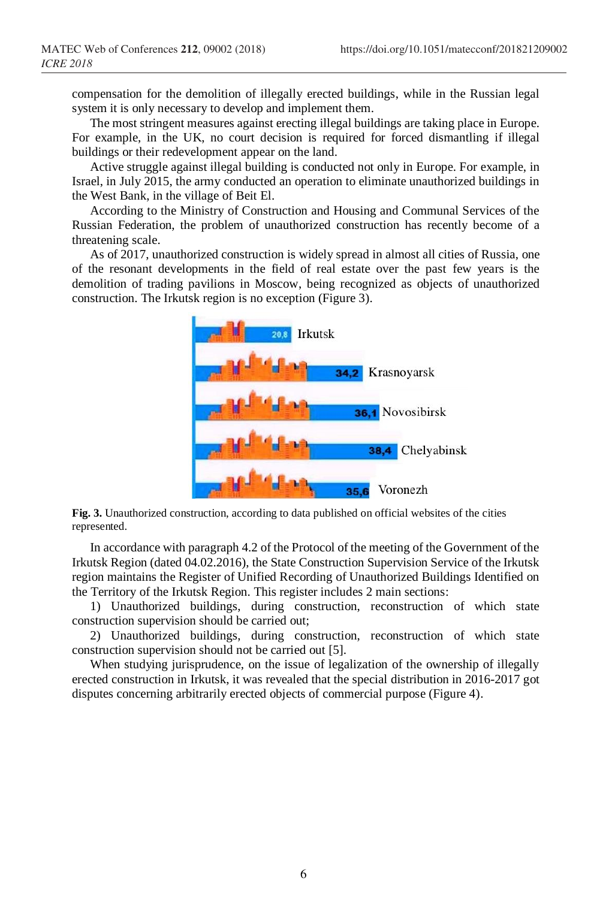compensation for the demolition of illegally erected buildings, while in the Russian legal system it is only necessary to develop and implement them.

The most stringent measures against erecting illegal buildings are taking place in Europe. For example, in the UK, no court decision is required for forced dismantling if illegal buildings or their redevelopment appear on the land.

Active struggle against illegal building is conducted not only in Europe. For example, in Israel, in July 2015, the army conducted an operation to eliminate unauthorized buildings in the West Bank, in the village of Beit El.

According to the Ministry of Construction and Housing and Communal Services of the Russian Federation, the problem of unauthorized construction has recently become of a threatening scale.

As of 2017, unauthorized construction is widely spread in almost all cities of Russia, one of the resonant developments in the field of real estate over the past few years is the demolition of trading pavilions in Moscow, being recognized as objects of unauthorized construction. The Irkutsk region is no exception (Figure 3).



**Fig. 3.** Unauthorized construction, according to data published on official websites of the cities represented.

In accordance with paragraph 4.2 of the Protocol of the meeting of the Government of the Irkutsk Region (dated 04.02.2016), the State Construction Supervision Service of the Irkutsk region maintains the Register of Unified Recording of Unauthorized Buildings Identified on the Territory of the Irkutsk Region. This register includes 2 main sections:

1) Unauthorized buildings, during construction, reconstruction of which state construction supervision should be carried out;

2) Unauthorized buildings, during construction, reconstruction of which state construction supervision should not be carried out [5].

When studying jurisprudence, on the issue of legalization of the ownership of illegally erected construction in Irkutsk, it was revealed that the special distribution in 2016-2017 got disputes concerning arbitrarily erected objects of commercial purpose (Figure 4).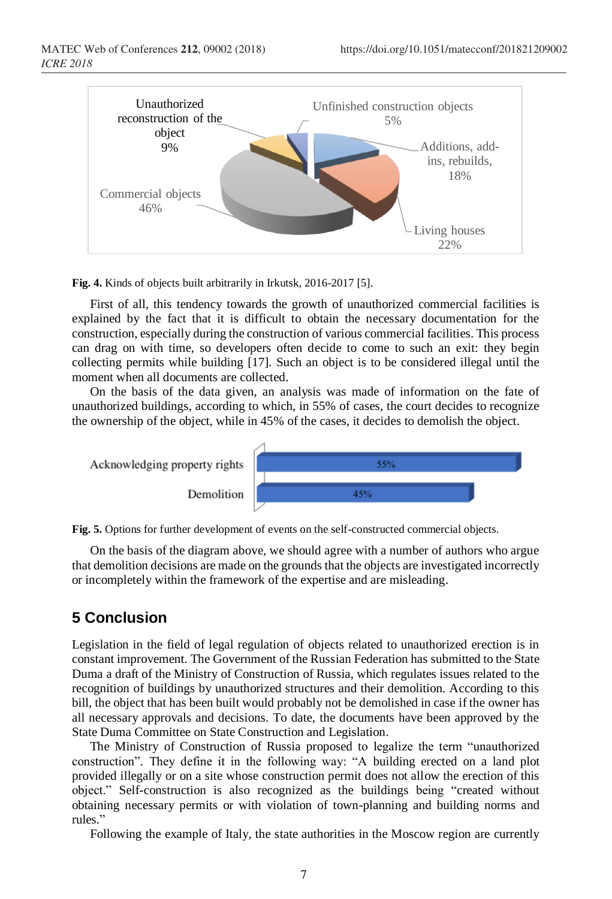

**Fig. 4.** Kinds of objects built arbitrarily in Irkutsk, 2016-2017 [5].

First of all, this tendency towards the growth of unauthorized commercial facilities is explained by the fact that it is difficult to obtain the necessary documentation for the construction, especially during the construction of various commercial facilities. This process can drag on with time, so developers often decide to come to such an exit: they begin collecting permits while building [17]. Such an object is to be considered illegal until the moment when all documents are collected.

On the basis of the data given, an analysis was made of information on the fate of unauthorized buildings, according to which, in 55% of cases, the court decides to recognize the ownership of the object, while in 45% of the cases, it decides to demolish the object.



**Fig. 5.** Options for further development of events on the self-constructed commercial objects.

On the basis of the diagram above, we should agree with a number of authors who argue that demolition decisions are made on the grounds that the objects are investigated incorrectly or incompletely within the framework of the expertise and are misleading.

# **5 Conclusion**

Legislation in the field of legal regulation of objects related to unauthorized erection is in constant improvement. The Government of the Russian Federation has submitted to the State Duma a draft of the Ministry of Construction of Russia, which regulates issues related to the recognition of buildings by unauthorized structures and their demolition. According to this bill, the object that has been built would probably not be demolished in case if the owner has all necessary approvals and decisions. To date, the documents have been approved by the State Duma Committee on State Construction and Legislation.

The Ministry of Construction of Russia proposed to legalize the term "unauthorized construction". They define it in the following way: "A building erected on a land plot provided illegally or on a site whose construction permit does not allow the erection of this object." Self-construction is also recognized as the buildings being "created without obtaining necessary permits or with violation of town-planning and building norms and rules."

Following the example of Italy, the state authorities in the Moscow region are currently